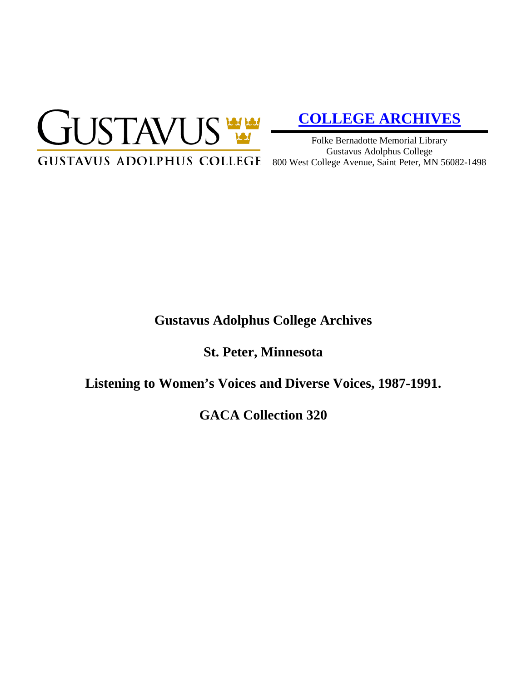

# **[COLLEGE ARCHIVES](http://gustavus.edu/academics/library/archives/)**

Folke Bernadotte Memorial Library Gustavus Adolphus College

## **Gustavus Adolphus College Archives**

**St. Peter, Minnesota**

**Listening to Women's Voices and Diverse Voices, 1987-1991.**

**GACA Collection 320**